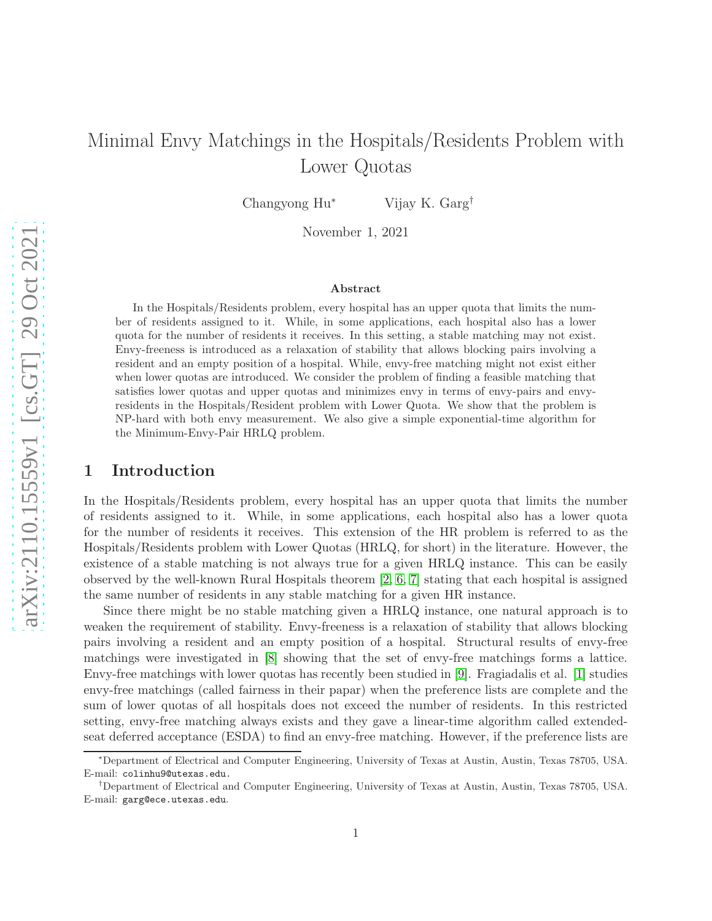# Minimal Envy Matchings in the Hospitals/Residents Problem with Lower Quotas

Changyong Hu<sup>∗</sup> Vijay K. Garg†

November 1, 2021

### Abstract

In the Hospitals/Residents problem, every hospital has an upper quota that limits the number of residents assigned to it. While, in some applications, each hospital also has a lower quota for the number of residents it receives. In this setting, a stable matching may not exist. Envy-freeness is introduced as a relaxation of stability that allows blocking pairs involving a resident and an empty position of a hospital. While, envy-free matching might not exist either when lower quotas are introduced. We consider the problem of finding a feasible matching that satisfies lower quotas and upper quotas and minimizes envy in terms of envy-pairs and envyresidents in the Hospitals/Resident problem with Lower Quota. We show that the problem is NP-hard with both envy measurement. We also give a simple exponential-time algorithm for the Minimum-Envy-Pair HRLQ problem.

## 1 Introduction

In the Hospitals/Residents problem, every hospital has an upper quota that limits the number of residents assigned to it. While, in some applications, each hospital also has a lower quota for the number of residents it receives. This extension of the HR problem is referred to as the Hospitals/Residents problem with Lower Quotas (HRLQ, for short) in the literature. However, the existence of a stable matching is not always true for a given HRLQ instance. This can be easily observed by the well-known Rural Hospitals theorem [\[2,](#page-8-0) [6,](#page-8-1) [7\]](#page-8-2) stating that each hospital is assigned the same number of residents in any stable matching for a given HR instance.

Since there might be no stable matching given a HRLQ instance, one natural approach is to weaken the requirement of stability. Envy-freeness is a relaxation of stability that allows blocking pairs involving a resident and an empty position of a hospital. Structural results of envy-free matchings were investigated in [\[8\]](#page-8-3) showing that the set of envy-free matchings forms a lattice. Envy-free matchings with lower quotas has recently been studied in [\[9\]](#page-8-4). Fragiadalis et al. [\[1\]](#page-8-5) studies envy-free matchings (called fairness in their papar) when the preference lists are complete and the sum of lower quotas of all hospitals does not exceed the number of residents. In this restricted setting, envy-free matching always exists and they gave a linear-time algorithm called extendedseat deferred acceptance (ESDA) to find an envy-free matching. However, if the preference lists are

<sup>∗</sup>Department of Electrical and Computer Engineering, University of Texas at Austin, Austin, Texas 78705, USA. E-mail: colinhu9@utexas.edu.

<sup>†</sup>Department of Electrical and Computer Engineering, University of Texas at Austin, Austin, Texas 78705, USA. E-mail: garg@ece.utexas.edu.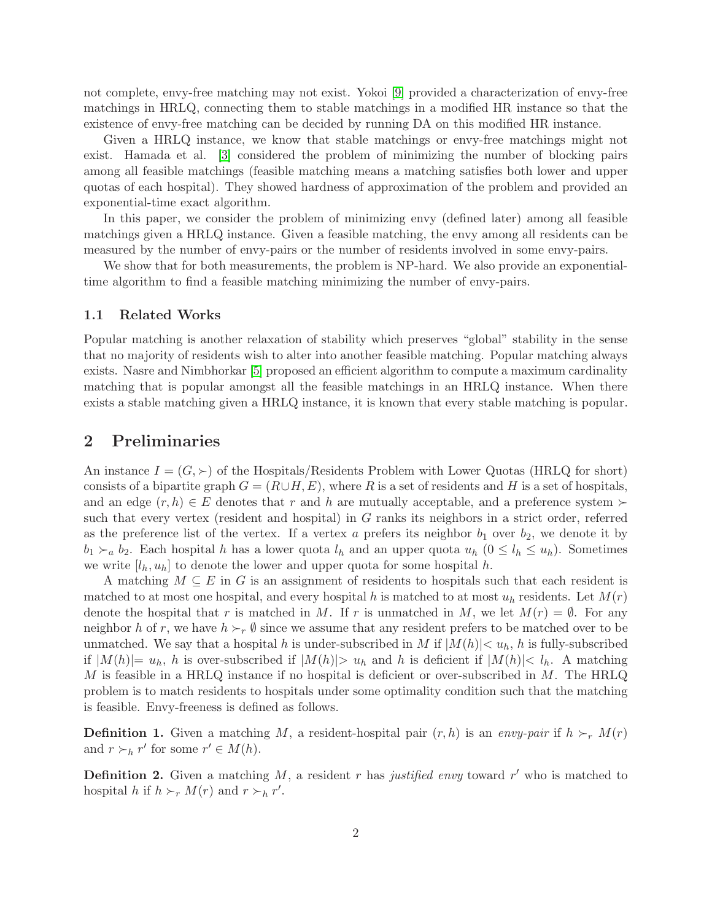not complete, envy-free matching may not exist. Yokoi [\[9\]](#page-8-4) provided a characterization of envy-free matchings in HRLQ, connecting them to stable matchings in a modified HR instance so that the existence of envy-free matching can be decided by running DA on this modified HR instance.

Given a HRLQ instance, we know that stable matchings or envy-free matchings might not exist. Hamada et al. [\[3\]](#page-8-6) considered the problem of minimizing the number of blocking pairs among all feasible matchings (feasible matching means a matching satisfies both lower and upper quotas of each hospital). They showed hardness of approximation of the problem and provided an exponential-time exact algorithm.

In this paper, we consider the problem of minimizing envy (defined later) among all feasible matchings given a HRLQ instance. Given a feasible matching, the envy among all residents can be measured by the number of envy-pairs or the number of residents involved in some envy-pairs.

We show that for both measurements, the problem is NP-hard. We also provide an exponentialtime algorithm to find a feasible matching minimizing the number of envy-pairs.

### 1.1 Related Works

Popular matching is another relaxation of stability which preserves "global" stability in the sense that no majority of residents wish to alter into another feasible matching. Popular matching always exists. Nasre and Nimbhorkar [\[5\]](#page-8-7) proposed an efficient algorithm to compute a maximum cardinality matching that is popular amongst all the feasible matchings in an HRLQ instance. When there exists a stable matching given a HRLQ instance, it is known that every stable matching is popular.

## 2 Preliminaries

An instance  $I = (G, \succ)$  of the Hospitals/Residents Problem with Lower Quotas (HRLQ for short) consists of a bipartite graph  $G = (R \cup H, E)$ , where R is a set of residents and H is a set of hospitals, and an edge  $(r, h) \in E$  denotes that r and h are mutually acceptable, and a preference system ≻ such that every vertex (resident and hospital) in G ranks its neighbors in a strict order, referred as the preference list of the vertex. If a vertex a prefers its neighbor  $b_1$  over  $b_2$ , we denote it by  $b_1 \succ_a b_2$ . Each hospital h has a lower quota  $l_h$  and an upper quota  $u_h$   $(0 \leq l_h \leq u_h)$ . Sometimes we write  $[l_h, u_h]$  to denote the lower and upper quota for some hospital h.

A matching  $M \subseteq E$  in G is an assignment of residents to hospitals such that each resident is matched to at most one hospital, and every hospital h is matched to at most  $u<sub>h</sub>$  residents. Let  $M(r)$ denote the hospital that r is matched in M. If r is unmatched in M, we let  $M(r) = \emptyset$ . For any neighbor h of r, we have  $h \succ r \emptyset$  since we assume that any resident prefers to be matched over to be unmatched. We say that a hospital h is under-subscribed in M if  $|M(h)| < u_h$ , h is fully-subscribed if  $|M(h)|= u_h$ , h is over-subscribed if  $|M(h)|> u_h$  and h is deficient if  $|M(h)|< l_h$ . A matching M is feasible in a HRLQ instance if no hospital is deficient or over-subscribed in  $M$ . The HRLQ problem is to match residents to hospitals under some optimality condition such that the matching is feasible. Envy-freeness is defined as follows.

**Definition 1.** Given a matching M, a resident-hospital pair  $(r, h)$  is an *envy-pair* if  $h \succ_r M(r)$ and  $r \succ_h r'$  for some  $r' \in M(h)$ .

**Definition 2.** Given a matching  $M$ , a resident r has *justified envy* toward r' who is matched to hospital h if  $h \succ_r M(r)$  and  $r \succ_h r'$ .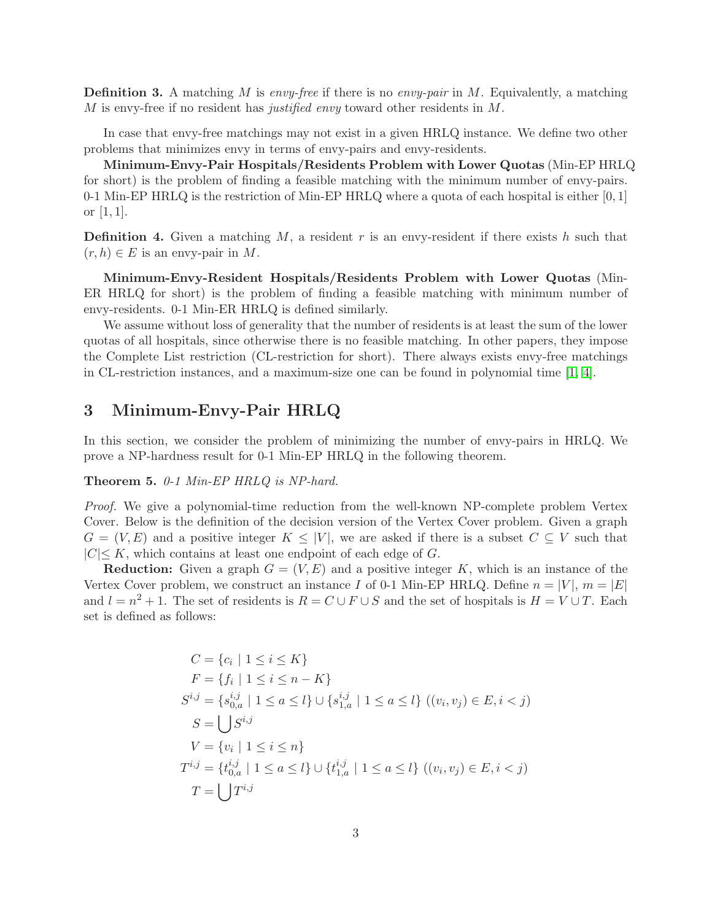Definition 3. A matching M is *envy-free* if there is no *envy-pair* in M. Equivalently, a matching M is envy-free if no resident has *justified envy* toward other residents in M.

In case that envy-free matchings may not exist in a given HRLQ instance. We define two other problems that minimizes envy in terms of envy-pairs and envy-residents.

Minimum-Envy-Pair Hospitals/Residents Problem with Lower Quotas (Min-EP HRLQ for short) is the problem of finding a feasible matching with the minimum number of envy-pairs. 0-1 Min-EP HRLQ is the restriction of Min-EP HRLQ where a quota of each hospital is either  $[0,1]$ or  $[1, 1]$ .

**Definition 4.** Given a matching  $M$ , a resident r is an envy-resident if there exists h such that  $(r, h) \in E$  is an envy-pair in M.

Minimum-Envy-Resident Hospitals/Residents Problem with Lower Quotas (Min-ER HRLQ for short) is the problem of finding a feasible matching with minimum number of envy-residents. 0-1 Min-ER HRLQ is defined similarly.

We assume without loss of generality that the number of residents is at least the sum of the lower quotas of all hospitals, since otherwise there is no feasible matching. In other papers, they impose the Complete List restriction (CL-restriction for short). There always exists envy-free matchings in CL-restriction instances, and a maximum-size one can be found in polynomial time [\[1,](#page-8-5) [4\]](#page-8-8).

# 3 Minimum-Envy-Pair HRLQ

In this section, we consider the problem of minimizing the number of envy-pairs in HRLQ. We prove a NP-hardness result for 0-1 Min-EP HRLQ in the following theorem.

Theorem 5. *0-1 Min-EP HRLQ is NP-hard.*

*Proof.* We give a polynomial-time reduction from the well-known NP-complete problem Vertex Cover. Below is the definition of the decision version of the Vertex Cover problem. Given a graph  $G = (V, E)$  and a positive integer  $K \leq |V|$ , we are asked if there is a subset  $C \subseteq V$  such that  $|C| \leq K$ , which contains at least one endpoint of each edge of G.

**Reduction:** Given a graph  $G = (V, E)$  and a positive integer K, which is an instance of the Vertex Cover problem, we construct an instance I of 0-1 Min-EP HRLQ. Define  $n = |V|$ ,  $m = |E|$ and  $l = n^2 + 1$ . The set of residents is  $R = C \cup F \cup S$  and the set of hospitals is  $H = V \cup T$ . Each set is defined as follows:

$$
C = \{c_i \mid 1 \le i \le K\}
$$
  
\n
$$
F = \{f_i \mid 1 \le i \le n - K\}
$$
  
\n
$$
S^{i,j} = \{s_{0,a}^{i,j} \mid 1 \le a \le l\} \cup \{s_{1,a}^{i,j} \mid 1 \le a \le l\} ((v_i, v_j) \in E, i < j)
$$
  
\n
$$
S = \bigcup_{i \in S} S^{i,j}
$$
  
\n
$$
V = \{v_i \mid 1 \le i \le n\}
$$
  
\n
$$
T^{i,j} = \{t_{0,a}^{i,j} \mid 1 \le a \le l\} \cup \{t_{1,a}^{i,j} \mid 1 \le a \le l\} ((v_i, v_j) \in E, i < j)
$$
  
\n
$$
T = \bigcup_{i \in S} T^{i,j}
$$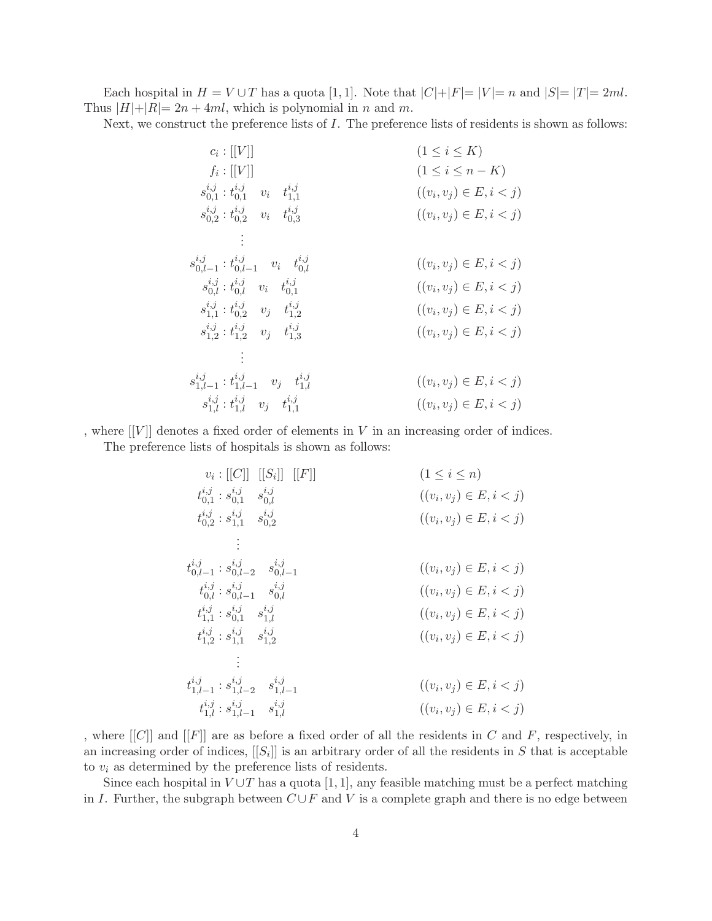Each hospital in  $H = V \cup T$  has a quota [1, 1]. Note that  $|C| + |F| = |V| = n$  and  $|S| = |T| = 2ml$ . Thus  $|H|+|R|=2n+4ml$ , which is polynomial in n and m.

Next, we construct the preference lists of I. The preference lists of residents is shown as follows:

| $c_i :  [V] $                                                                       | $(1 \leq i \leq K)$         |
|-------------------------------------------------------------------------------------|-----------------------------|
| $f_i:[[V]]$                                                                         | $(1 \leq i \leq n-K)$       |
| $s_{0.1}^{i,j}$ : $t_{0.1}^{i,j}$ v <sub>i</sub> $t_{1.1}^{i,j}$                    | $((v_i, v_j) \in E, i < j)$ |
| $s_{0,2}^{i,j}: t_{0,2}^{i,j}$ $v_i$ $t_{0,3}^{i,j}$                                | $((v_i, v_j) \in E, i < j)$ |
|                                                                                     |                             |
| $s_{0,l-1}^{i,j}:t_{0,l-1}^{\imath,\jmath} \quad v_i \quad t_{0,l}^{\imath,\jmath}$ | $((v_i, v_j) \in E, i < j)$ |
| $s_{0,l}^{i,j}: t_{0,l}^{i,j}$ $v_i$ $t_{0,1}^{i,j}$                                | $((v_i, v_j) \in E, i < j)$ |
| $s_{1,1}^{i,j}: t_{0,2}^{i,j}$ $v_j$ $t_{1,2}^{i,j}$                                | $((v_i, v_j) \in E, i < j)$ |
| $s_{1,2}^{i,j}: t_{1,2}^{i,j}$ $v_j$ $t_{1,3}^{i,j}$                                | $((v_i, v_j) \in E, i < j)$ |
|                                                                                     |                             |
| $s_{1,l-1}^{i,j}:t_{1,l-1}^{\imath,\jmath} \quad v_j \quad t_{1,l}^{\imath,\jmath}$ | $((v_i, v_j) \in E, i < j)$ |
| $s^{i,j}_{1,l}: t^{i,j}_{1,l} \quad v_j \quad t^{i,j}_{1,1}$                        | $((v_i, v_j) \in E, i < j)$ |

, where  $[[V]]$  denotes a fixed order of elements in V in an increasing order of indices. The preference lists of hospitals is shown as follows:

$$
v_{i}: [[C]] [[S_{i}]] [[F]] \qquad (1 \leq i \leq n)
$$
\n
$$
t_{0,1}^{i,j}: s_{0,1}^{i,j} s_{0,l}^{i,j} \qquad ((v_{i}, v_{j}) \in E, i < j)
$$
\n
$$
t_{0,2}^{i,j}: s_{1,1}^{i,j} s_{0,2}^{i,j} \qquad ((v_{i}, v_{j}) \in E, i < j)
$$
\n
$$
\vdots
$$
\n
$$
t_{0,l-1}^{i,j}: s_{0,l-2}^{i,j} s_{0,l-1}^{i,j} \qquad ((v_{i}, v_{j}) \in E, i < j)
$$
\n
$$
t_{0,l}^{i,j}: s_{0,l-1}^{i,j} s_{0,l}^{i,j} \qquad ((v_{i}, v_{j}) \in E, i < j)
$$
\n
$$
t_{1,1}^{i,j}: s_{0,1}^{i,j} s_{1,2}^{i,j} \qquad ((v_{i}, v_{j}) \in E, i < j)
$$
\n
$$
\vdots
$$
\n
$$
t_{1,l-1}^{i,j}: s_{1,l-2}^{i,j} s_{1,l-1}^{i,j} \qquad ((v_{i}, v_{j}) \in E, i < j)
$$
\n
$$
t_{1,l-1}^{i,j}: s_{1,l-1}^{i,j} s_{1,l}^{i,j} \qquad ((v_{i}, v_{j}) \in E, i < j)
$$
\n
$$
t_{1,l}^{i,j}: s_{1,l-1}^{i,j} s_{1,l}^{i,j} \qquad ((v_{i}, v_{j}) \in E, i < j)
$$

, where  $[[C]]$  and  $[[F]]$  are as before a fixed order of all the residents in C and F, respectively, in an increasing order of indices,  $[[S_i]]$  is an arbitrary order of all the residents in S that is acceptable to  $v_i$  as determined by the preference lists of residents.

Since each hospital in  $V \cup T$  has a quota [1, 1], any feasible matching must be a perfect matching in I. Further, the subgraph between  $C \cup F$  and V is a complete graph and there is no edge between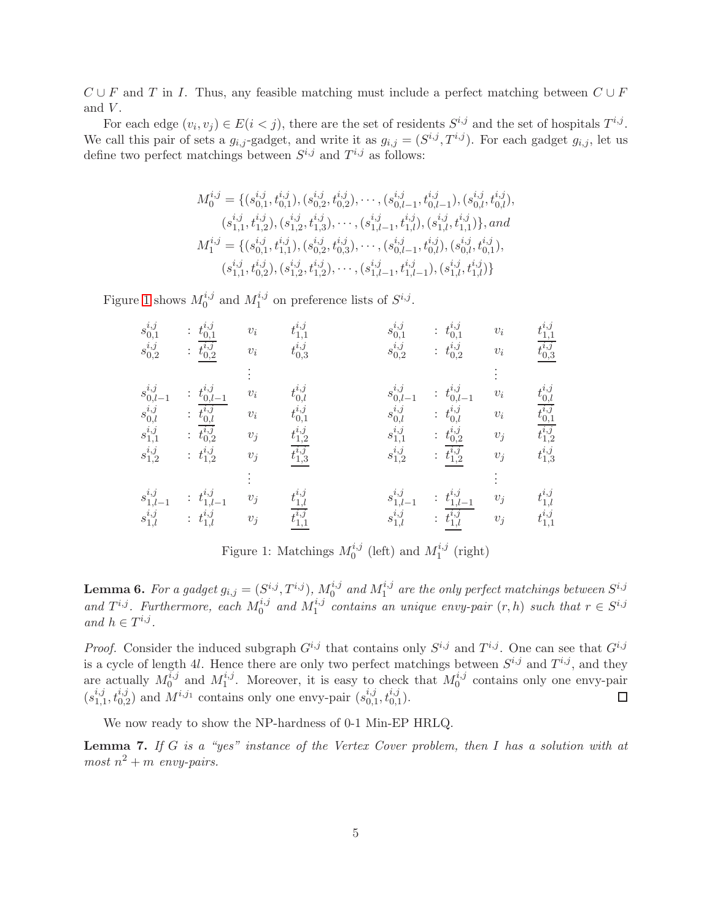$C \cup F$  and T in I. Thus, any feasible matching must include a perfect matching between  $C \cup F$ and  $V$ .

For each edge  $(v_i, v_j) \in E(i < j)$ , there are the set of residents  $S^{i,j}$  and the set of hospitals  $T^{i,j}$ . We call this pair of sets a  $g_{i,j}$ -gadget, and write it as  $g_{i,j} = (S^{i,j}, T^{i,j})$ . For each gadget  $g_{i,j}$ , let us define two perfect matchings between  $S^{i,j}$  and  $T^{i,j}$  as follows:

$$
M_0^{i,j} = \{ (s_{0,1}^{i,j}, t_{0,1}^{i,j}), (s_{0,2}^{i,j}, t_{0,2}^{i,j}), \cdots, (s_{0,l-1}^{i,j}, t_{0,l-1}^{i,j}), (s_{0,l}^{i,j}, t_{0,l}^{i,j}),
$$
  
\n
$$
(s_{1,1}^{i,j}, t_{1,2}^{i,j}), (s_{1,2}^{i,j}, t_{1,3}^{i,j}), \cdots, (s_{1,l-1}^{i,j}, t_{1,l}^{i,j}), (s_{1,l}^{i,j}, t_{1,1}^{i,j}) \}, and
$$
  
\n
$$
M_1^{i,j} = \{ (s_{0,1}^{i,j}, t_{1,1}^{i,j}), (s_{0,2}^{i,j}, t_{0,3}^{i,j}), \cdots, (s_{0,l-1}^{i,j}, t_{0,l}^{i,j}), (s_{0,l}^{i,j}, t_{0,1}^{i,j}),
$$
  
\n
$$
(s_{1,1}^{i,j}, t_{0,2}^{i,j}), (s_{1,2}^{i,j}, t_{1,2}^{i,j}), \cdots, (s_{1,l-1}^{i,j}, t_{1,l-1}^{i,j}), (s_{1,l}^{i,j}, t_{1,l}^{i,j}) \}
$$

Figure [1](#page-4-0) shows  $M_0^{i,j}$  and  $M_1^{i,j}$  on preference lists of  $S^{i,j}$ .

$$
\begin{array}{ccccccccc} s_{0,1}^{i,j} & : & t_{0,1}^{i,j} & v_i & t_{1,1}^{i,j} & s_{0,1}^{i,j} & : & t_{0,1}^{i,j} & v_i & t_{1,1}^{i,j} \\ s_{0,2}^{i,j} & : & \frac{t_{0,2}^{i,j}}{t_{0,2}^{i,j}} & v_i & t_{0,3}^{i,j} & s_{0,2}^{i,j} & : & t_{0,2}^{i,j} & v_i & \frac{t_{1,1}^{i,j}}{t_{0,3}^{i,j}} \\ s_{0,l-1}^{i,j} & : & t_{0,l-1}^{i,j} & v_i & t_{0,l}^{i,j} & s_{0,l-1}^{i,j} & : & t_{0,l-1}^{i,j} & v_i & t_{0,l}^{i,j} \\ s_{0,l}^{i,j} & : & t_{0,l}^{i,j} & v_i & t_{0,1}^{i,j} & s_{0,l}^{i,j} & : & t_{0,l}^{i,j} & v_i & \frac{t_{1,j}^{i,j}}{t_{0,1}^{i,j}} \\ s_{1,1}^{i,j} & : & t_{1,2}^{i,j} & v_j & t_{1,2}^{i,j} & s_{1,2}^{i,j} & : & t_{0,2}^{i,j} & v_j & t_{1,2}^{i,j} \\ s_{1,2}^{i,j} & : & t_{1,2}^{i,j} & v_j & t_{1,3}^{i,j} & s_{1,2}^{i,j} & : & t_{1,2}^{i,j} & v_j & t_{1,3}^{i,j} \\ s_{1,l-1}^{i,j} & : & t_{1,l-1}^{i,j} & v_j & t_{1,l}^{i,j} & s_{1,l-1}^{i,j} & : & t_{1,l-1}^{i,j} & v_j & t_{1,1}^{i,j} \\ s_{1,l}^{i,j} & : & t_{1,l}^{i,j} & v_j & t_{1,1}^{i,j} & s_{1,l}^{i,j} & : & t_{1,l}^{i,j} & v_j & t_{1,1}^{i,j} \\ \end{array}
$$

<span id="page-4-0"></span>Figure 1: Matchings  $M_0^{i,j}$  (left) and  $M_1^{i,j}$  (right)

<span id="page-4-1"></span>**Lemma 6.** For a gadget  $g_{i,j} = (S^{i,j}, T^{i,j})$ ,  $M_0^{i,j}$  and  $M_1^{i,j}$  are the only perfect matchings between  $S^{i,j}$ and  $T^{i,j}$ . Furthermore, each  $M_0^{i,j}$  and  $M_1^{i,j}$  contains an unique envy-pair  $(r, h)$  such that  $r \in S^{i,j}$ *and*  $h \in T^{i,j}$ .

*Proof.* Consider the induced subgraph  $G^{i,j}$  that contains only  $S^{i,j}$  and  $T^{i,j}$ . One can see that  $G^{i,j}$ is a cycle of length 4l. Hence there are only two perfect matchings between  $S^{i,j}$  and  $T^{i,j}$ , and they are actually  $M_0^{i,j}$  and  $M_1^{i,j}$ . Moreover, it is easy to check that  $M_0^{i,j}$  contains only one envy-pair  $(s_{1,1}^{i,j}, t_{0,2}^{i,j})$  and  $M^{i,j_1}$  contains only one envy-pair  $(s_{0,1}^{i,j}, t_{0,1}^{i,j})$ .  $\Box$ 

We now ready to show the NP-hardness of 0-1 Min-EP HRLQ.

<span id="page-4-2"></span>Lemma 7. *If* G *is a "yes" instance of the Vertex Cover problem, then* I *has a solution with at*  $most\ n^2 + m\ \textit{envy-pairs}.$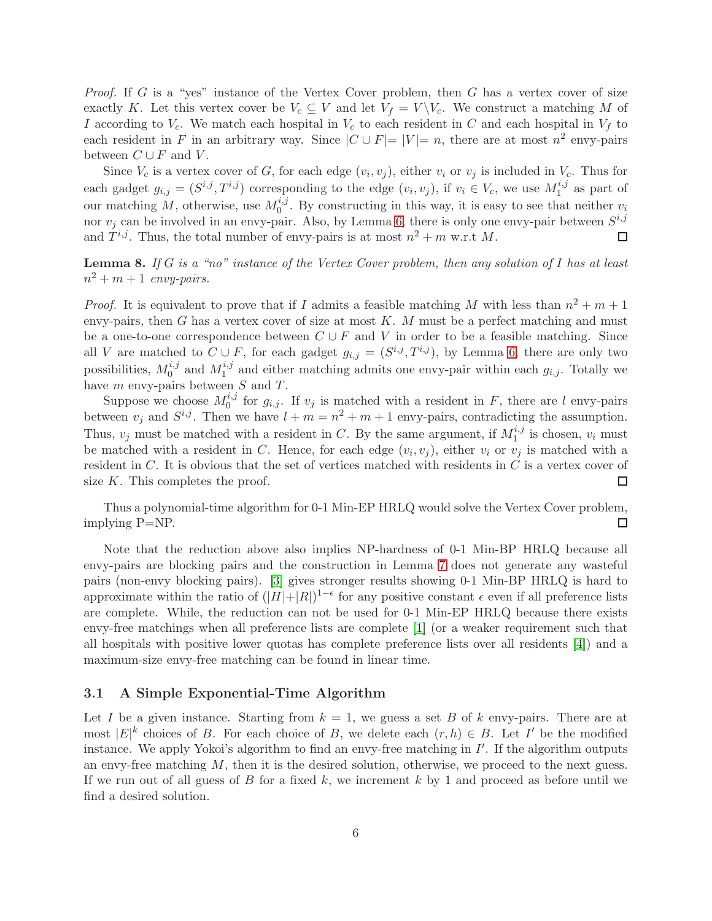*Proof.* If G is a "yes" instance of the Vertex Cover problem, then G has a vertex cover of size exactly K. Let this vertex cover be  $V_c \subseteq V$  and let  $V_f = V \backslash V_c$ . We construct a matching M of I according to  $V_c$ . We match each hospital in  $V_c$  to each resident in C and each hospital in  $V_f$  to each resident in F in an arbitrary way. Since  $|C \cup F| = |V| = n$ , there are at most  $n^2$  envy-pairs between  $C \cup F$  and V.

Since  $V_c$  is a vertex cover of G, for each edge  $(v_i, v_j)$ , either  $v_i$  or  $v_j$  is included in  $V_c$ . Thus for each gadget  $g_{i,j} = (S^{i,j}, T^{i,j})$  corresponding to the edge  $(v_i, v_j)$ , if  $v_i \in V_c$ , we use  $M_1^{i,j}$  as part of our matching M, otherwise, use  $M_0^{i,j}$ . By constructing in this way, it is easy to see that neither  $v_i$ nor  $v_j$  can be involved in an envy-pair. Also, by Lemma [6,](#page-4-1) there is only one envy-pair between  $S^{i,j}$ and  $T^{i,j}$ . Thus, the total number of envy-pairs is at most  $n^2 + m$  w.r.t M.  $\Box$ 

Lemma 8. *If* G *is a "no" instance of the Vertex Cover problem, then any solution of* I *has at least*  $n^2 + m + 1$  *envy-pairs.* 

*Proof.* It is equivalent to prove that if I admits a feasible matching M with less than  $n^2 + m + 1$ envy-pairs, then  $G$  has a vertex cover of size at most  $K$ . M must be a perfect matching and must be a one-to-one correspondence between  $C \cup F$  and V in order to be a feasible matching. Since all V are matched to  $C \cup F$ , for each gadget  $g_{i,j} = (S^{i,j}, T^{i,j})$ , by Lemma [6,](#page-4-1) there are only two possibilities,  $M_0^{i,j}$  and  $M_1^{i,j}$  and either matching admits one envy-pair within each  $g_{i,j}$ . Totally we have  $m$  envy-pairs between  $S$  and  $T$ .

Suppose we choose  $M_0^{i,j}$  for  $g_{i,j}$ . If  $v_j$  is matched with a resident in F, there are l envy-pairs between  $v_j$  and  $S^{i,j}$ . Then we have  $l + m = n^2 + m + 1$  envy-pairs, contradicting the assumption. Thus,  $v_j$  must be matched with a resident in C. By the same argument, if  $M_1^{i,j}$  is chosen,  $v_i$  must be matched with a resident in C. Hence, for each edge  $(v_i, v_j)$ , either  $v_i$  or  $v_j$  is matched with a resident in C. It is obvious that the set of vertices matched with residents in C is a vertex cover of size K. This completes the proof.  $\Box$ 

Thus a polynomial-time algorithm for 0-1 Min-EP HRLQ would solve the Vertex Cover problem, implying P=NP.  $\Box$ 

Note that the reduction above also implies NP-hardness of 0-1 Min-BP HRLQ because all envy-pairs are blocking pairs and the construction in Lemma [7](#page-4-2) does not generate any wasteful pairs (non-envy blocking pairs). [\[3\]](#page-8-6) gives stronger results showing 0-1 Min-BP HRLQ is hard to approximate within the ratio of  $(|H|+|R|)^{1-\epsilon}$  for any positive constant  $\epsilon$  even if all preference lists are complete. While, the reduction can not be used for 0-1 Min-EP HRLQ because there exists envy-free matchings when all preference lists are complete [\[1\]](#page-8-5) (or a weaker requirement such that all hospitals with positive lower quotas has complete preference lists over all residents [\[4\]](#page-8-8)) and a maximum-size envy-free matching can be found in linear time.

#### 3.1 A Simple Exponential-Time Algorithm

Let I be a given instance. Starting from  $k = 1$ , we guess a set B of k envy-pairs. There are at most  $|E|^k$  choices of B. For each choice of B, we delete each  $(r, h) \in B$ . Let I' be the modified instance. We apply Yokoi's algorithm to find an envy-free matching in  $I'$ . If the algorithm outputs an envy-free matching  $M$ , then it is the desired solution, otherwise, we proceed to the next guess. If we run out of all guess of B for a fixed k, we increment k by 1 and proceed as before until we find a desired solution.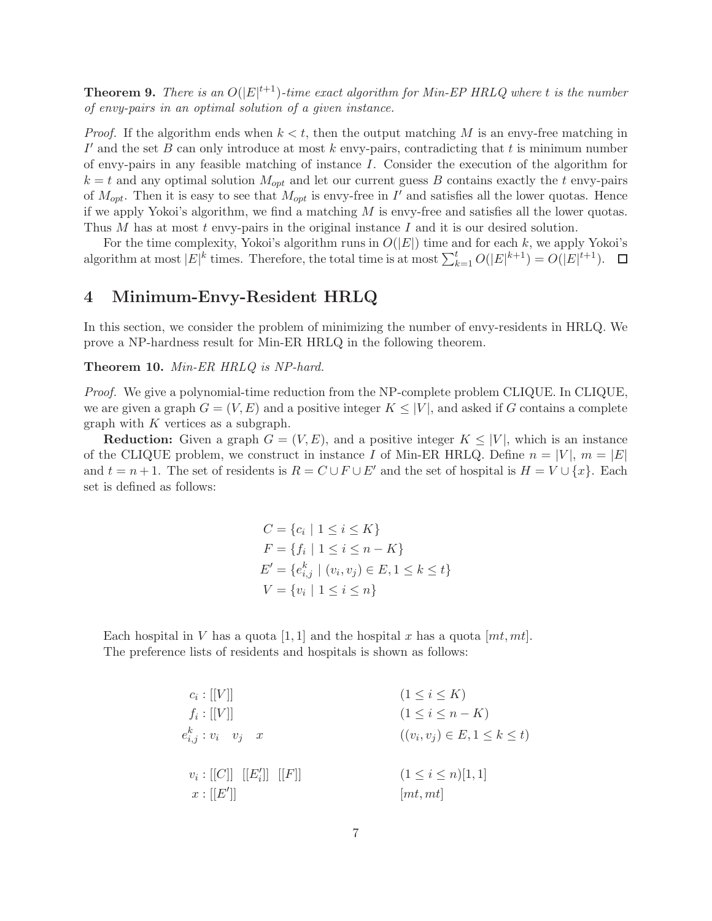**Theorem 9.** There is an  $O(|E|^{t+1})$ -time exact algorithm for Min-EP HRLQ where t is the number *of envy-pairs in an optimal solution of a given instance.*

*Proof.* If the algorithm ends when  $k < t$ , then the output matching M is an envy-free matching in  $I'$  and the set  $\overline{B}$  can only introduce at most  $k$  envy-pairs, contradicting that  $t$  is minimum number of envy-pairs in any feasible matching of instance I. Consider the execution of the algorithm for  $k = t$  and any optimal solution  $M_{opt}$  and let our current guess B contains exactly the t envy-pairs of  $M_{opt}$ . Then it is easy to see that  $M_{opt}$  is envy-free in I' and satisfies all the lower quotas. Hence if we apply Yokoi's algorithm, we find a matching  $M$  is envy-free and satisfies all the lower quotas. Thus M has at most  $t$  envy-pairs in the original instance  $I$  and it is our desired solution.

For the time complexity, Yokoi's algorithm runs in  $O(|E|)$  time and for each k, we apply Yokoi's algorithm at most  $|E|^k$  times. Therefore, the total time is at most  $\sum_{k=1}^t O(|E|^{k+1}) = O(|E|^{t+1})$ .

## 4 Minimum-Envy-Resident HRLQ

In this section, we consider the problem of minimizing the number of envy-residents in HRLQ. We prove a NP-hardness result for Min-ER HRLQ in the following theorem.

Theorem 10. *Min-ER HRLQ is NP-hard.*

*Proof.* We give a polynomial-time reduction from the NP-complete problem CLIQUE. In CLIQUE, we are given a graph  $G = (V, E)$  and a positive integer  $K \leq |V|$ , and asked if G contains a complete graph with  $K$  vertices as a subgraph.

**Reduction:** Given a graph  $G = (V, E)$ , and a positive integer  $K \leq |V|$ , which is an instance of the CLIQUE problem, we construct in instance I of Min-ER HRLQ. Define  $n = |V|$ ,  $m = |E|$ and  $t = n + 1$ . The set of residents is  $R = C \cup F \cup E'$  and the set of hospital is  $H = V \cup \{x\}$ . Each set is defined as follows:

$$
C = \{c_i \mid 1 \le i \le K\}
$$
  
\n
$$
F = \{f_i \mid 1 \le i \le n - K\}
$$
  
\n
$$
E' = \{e_{i,j}^k \mid (v_i, v_j) \in E, 1 \le k \le t\}
$$
  
\n
$$
V = \{v_i \mid 1 \le i \le n\}
$$

Each hospital in V has a quota [1, 1] and the hospital x has a quota  $[mt, mt]$ . The preference lists of residents and hospitals is shown as follows:

$$
c_{i}:[[V]] \qquad (1 \leq i \leq K)
$$
\n
$$
f_{i}:[[V]] \qquad (1 \leq i \leq K)
$$
\n
$$
e_{i,j}^{k}: v_{i} \quad v_{j} \quad x \qquad ((v_{i}, v_{j}) \in E, 1 \leq k \leq t)
$$
\n
$$
v_{i}:[[C]] [[E_{i}'] [[F]] \qquad (1 \leq i \leq n)[1,1]
$$
\n
$$
x:[[E']] \qquad [mt, mt]
$$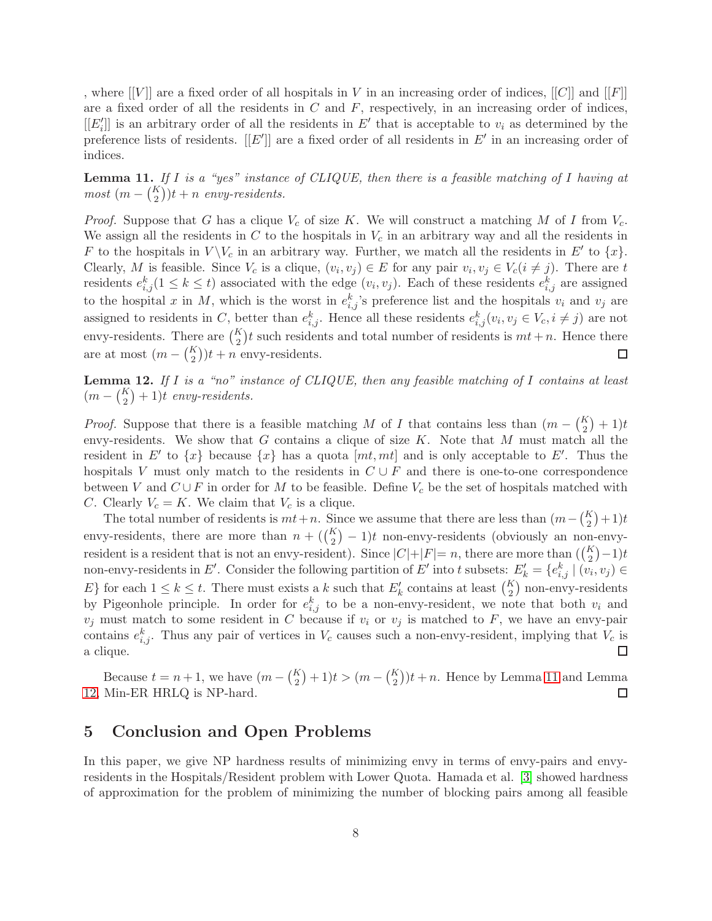, where  $[[V]]$  are a fixed order of all hospitals in V in an increasing order of indices,  $[[C]]$  and  $[[F]]$ are a fixed order of all the residents in  $C$  and  $F$ , respectively, in an increasing order of indices,  $[[E'_{i}]]$  is an arbitrary order of all the residents in  $E'$  that is acceptable to  $v_{i}$  as determined by the preference lists of residents.  $[[E']]$  are a fixed order of all residents in  $E'$  in an increasing order of indices.

<span id="page-7-0"></span>Lemma 11. *If* I *is a "yes" instance of CLIQUE, then there is a feasible matching of* I *having at*  $most (m - {K \choose 2})t + n$  *envy-residents.* 

*Proof.* Suppose that G has a clique  $V_c$  of size K. We will construct a matching M of I from  $V_c$ . We assign all the residents in  $C$  to the hospitals in  $V_c$  in an arbitrary way and all the residents in F to the hospitals in  $V \backslash V_c$  in an arbitrary way. Further, we match all the residents in E' to  $\{x\}$ . Clearly, M is feasible. Since  $V_c$  is a clique,  $(v_i, v_j) \in E$  for any pair  $v_i, v_j \in V_c(i \neq j)$ . There are t residents  $e_{i,j}^k(1 \leq k \leq t)$  associated with the edge  $(v_i, v_j)$ . Each of these residents  $e_{i,j}^k$  are assigned to the hospital x in M, which is the worst in  $e_{i,j}^k$ 's preference list and the hospitals  $v_i$  and  $v_j$  are assigned to residents in C, better than  $e_{i,j}^k$ . Hence all these residents  $e_{i,j}^k(v_i, v_j \in V_c, i \neq j)$  are not envy-residents. There are  $\binom{K}{2}t$  such residents and total number of residents is  $mt + n$ . Hence there are at most  $(m - {K \choose 2})t + n$  envy-residents. П

<span id="page-7-1"></span>Lemma 12. *If* I *is a "no" instance of CLIQUE, then any feasible matching of* I *contains at least*  $(m - {K \choose 2} + 1)t$  *envy-residents.* 

*Proof.* Suppose that there is a feasible matching M of I that contains less than  $(m - {K \choose 2} + 1)t$ envy-residents. We show that G contains a clique of size  $K$ . Note that M must match all the resident in E' to  $\{x\}$  because  $\{x\}$  has a quota  $[mt, mt]$  and is only acceptable to E'. Thus the hospitals V must only match to the residents in  $C \cup F$  and there is one-to-one correspondence between V and  $C \cup F$  in order for M to be feasible. Define  $V_c$  be the set of hospitals matched with C. Clearly  $V_c = K$ . We claim that  $V_c$  is a clique.

The total number of residents is  $mt+n$ . Since we assume that there are less than  $(m - {K \choose 2} + 1)t$ envy-residents, there are more than  $n + (\binom{K}{2} - 1)t$  non-envy-residents (obviously an non-envyresident is a resident that is not an envy-resident). Since  $|C|+|F|=n$ , there are more than  $(\binom{K}{2}-1)t$ non-envy-residents in E'. Consider the following partition of E' into t subsets:  $E'_k = \{e_{i,j}^k | (v_i, v_j) \in$ E} for each  $1 \leq k \leq t$ . There must exists a k such that  $E'_k$  contains at least  $\binom{K}{2}$  non-envy-residents by Pigeonhole principle. In order for  $e_{i,j}^k$  to be a non-envy-resident, we note that both  $v_i$  and  $v_j$  must match to some resident in C because if  $v_i$  or  $v_j$  is matched to F, we have an envy-pair contains  $e_{i,j}^k$ . Thus any pair of vertices in  $V_c$  causes such a non-envy-resident, implying that  $V_c$  is a clique.  $\Box$ 

Because  $t = n + 1$ , we have  $(m - {K \choose 2} + 1)t > (m - {K \choose 2})t + n$ . Hence by Lemma [11](#page-7-0) and Lemma [12,](#page-7-1) Min-ER HRLQ is NP-hard. □

# 5 Conclusion and Open Problems

In this paper, we give NP hardness results of minimizing envy in terms of envy-pairs and envyresidents in the Hospitals/Resident problem with Lower Quota. Hamada et al. [\[3\]](#page-8-6) showed hardness of approximation for the problem of minimizing the number of blocking pairs among all feasible